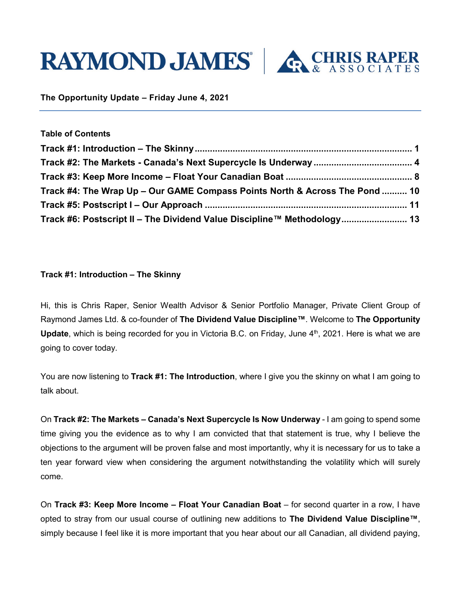



**The Opportunity Update – Friday June 4, 2021**

| <b>Table of Contents</b>                                                    |  |
|-----------------------------------------------------------------------------|--|
|                                                                             |  |
|                                                                             |  |
|                                                                             |  |
| Track #4: The Wrap Up - Our GAME Compass Points North & Across The Pond  10 |  |
|                                                                             |  |

# <span id="page-0-0"></span>**Track #1: Introduction – The Skinny**

Hi, this is Chris Raper, Senior Wealth Advisor & Senior Portfolio Manager, Private Client Group of Raymond James Ltd. & co-founder of **The Dividend Value Discipline™**. Welcome to **The Opportunity**  Update, which is being recorded for you in Victoria B.C. on Friday, June 4<sup>th</sup>, 2021. Here is what we are going to cover today.

You are now listening to **Track #1: The Introduction**, where I give you the skinny on what I am going to talk about.

On **Track #2: The Markets – Canada's Next Supercycle Is Now Underway** - I am going to spend some time giving you the evidence as to why I am convicted that that statement is true, why I believe the objections to the argument will be proven false and most importantly, why it is necessary for us to take a ten year forward view when considering the argument notwithstanding the volatility which will surely come.

On **Track #3: Keep More Income – Float Your Canadian Boat** – for second quarter in a row, I have opted to stray from our usual course of outlining new additions to **The Dividend Value Discipline™**, simply because I feel like it is more important that you hear about our all Canadian, all dividend paying,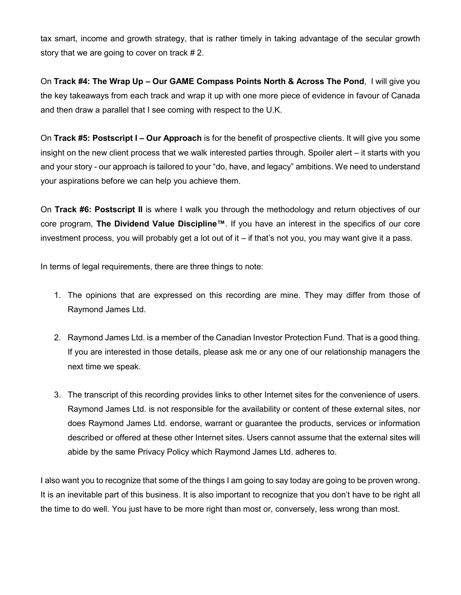tax smart, income and growth strategy, that is rather timely in taking advantage of the secular growth story that we are going to cover on track # 2.

On **Track #4: The Wrap Up – Our GAME Compass Points North & Across The Pond**, I will give you the key takeaways from each track and wrap it up with one more piece of evidence in favour of Canada and then draw a parallel that I see coming with respect to the U.K.

On **Track #5: Postscript I – Our Approach** is for the benefit of prospective clients. It will give you some insight on the new client process that we walk interested parties through. Spoiler alert – it starts with you and your story - our approach is tailored to your "do, have, and legacy" ambitions. We need to understand your aspirations before we can help you achieve them.

On **Track #6: Postscript II** is where I walk you through the methodology and return objectives of our core program, **The Dividend Value Discipline™**. If you have an interest in the specifics of our core investment process, you will probably get a lot out of it – if that's not you, you may want give it a pass.

In terms of legal requirements, there are three things to note:

- 1. The opinions that are expressed on this recording are mine. They may differ from those of Raymond James Ltd.
- 2. Raymond James Ltd. is a member of the Canadian Investor Protection Fund. That is a good thing. If you are interested in those details, please ask me or any one of our relationship managers the next time we speak.
- 3. The transcript of this recording provides links to other Internet sites for the convenience of users. Raymond James Ltd. is not responsible for the availability or content of these external sites, nor does Raymond James Ltd. endorse, warrant or guarantee the products, services or information described or offered at these other Internet sites. Users cannot assume that the external sites will abide by the same Privacy Policy which Raymond James Ltd. adheres to.

I also want you to recognize that some of the things I am going to say today are going to be proven wrong. It is an inevitable part of this business. It is also important to recognize that you don't have to be right all the time to do well. You just have to be more right than most or, conversely, less wrong than most.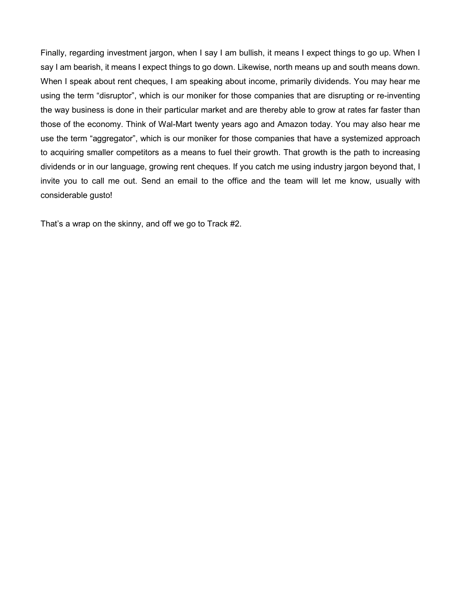Finally, regarding investment jargon, when I say I am bullish, it means I expect things to go up. When I say I am bearish, it means I expect things to go down. Likewise, north means up and south means down. When I speak about rent cheques, I am speaking about income, primarily dividends. You may hear me using the term "disruptor", which is our moniker for those companies that are disrupting or re-inventing the way business is done in their particular market and are thereby able to grow at rates far faster than those of the economy. Think of Wal-Mart twenty years ago and Amazon today. You may also hear me use the term "aggregator", which is our moniker for those companies that have a systemized approach to acquiring smaller competitors as a means to fuel their growth. That growth is the path to increasing dividends or in our language, growing rent cheques. If you catch me using industry jargon beyond that, I invite you to call me out. Send an email to the office and the team will let me know, usually with considerable gusto!

That's a wrap on the skinny, and off we go to Track #2.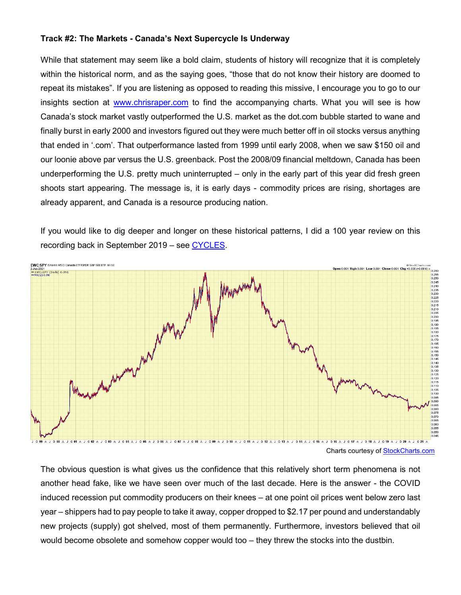#### <span id="page-3-0"></span>**Track #2: The Markets - Canada's Next Supercycle Is Underway**

While that statement may seem like a bold claim, students of history will recognize that it is completely within the historical norm, and as the saying goes, "those that do not know their history are doomed to repeat its mistakes". If you are listening as opposed to reading this missive, I encourage you to go to our insights section at [www.chrisraper.com](http://www.chrisraper.com/) to find the accompanying charts. What you will see is how Canada's stock market vastly outperformed the U.S. market as the dot.com bubble started to wane and finally burst in early 2000 and investors figured out they were much better off in oil stocks versus anything that ended in '.com'. That outperformance lasted from 1999 until early 2008, when we saw \$150 oil and our loonie above par versus the U.S. greenback. Post the 2008/09 financial meltdown, Canada has been underperforming the U.S. pretty much uninterrupted – only in the early part of this year did fresh green shoots start appearing. The message is, it is early days - commodity prices are rising, shortages are already apparent, and Canada is a resource producing nation.

If you would like to dig deeper and longer on these historical patterns, I did a 100 year review on this recording back in September 2019 – see [CYCLES.](https://www.chrisraper.com/insights/-/media/2a81c983b3e94169995d513cf6f1b322.ashx)



The obvious question is what gives us the confidence that this relatively short term phenomena is not another head fake, like we have seen over much of the last decade. Here is the answer - the COVID induced recession put commodity producers on their knees – at one point oil prices went below zero last year – shippers had to pay people to take it away, copper dropped to \$2.17 per pound and understandably new projects (supply) got shelved, most of them permanently. Furthermore, investors believed that oil would become obsolete and somehow copper would too – they threw the stocks into the dustbin.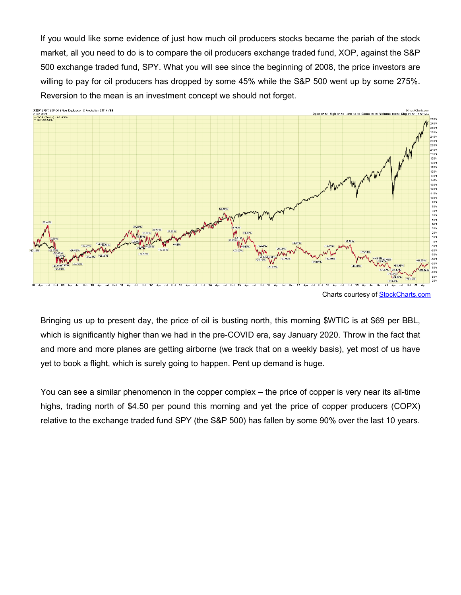If you would like some evidence of just how much oil producers stocks became the pariah of the stock market, all you need to do is to compare the oil producers exchange traded fund, XOP, against the S&P 500 exchange traded fund, SPY. What you will see since the beginning of 2008, the price investors are willing to pay for oil producers has dropped by some 45% while the S&P 500 went up by some 275%. Reversion to the mean is an investment concept we should not forget.



Bringing us up to present day, the price of oil is busting north, this morning \$WTIC is at \$69 per BBL, which is significantly higher than we had in the pre-COVID era, say January 2020. Throw in the fact that and more and more planes are getting airborne (we track that on a weekly basis), yet most of us have yet to book a flight, which is surely going to happen. Pent up demand is huge.

You can see a similar phenomenon in the copper complex – the price of copper is very near its all-time highs, trading north of \$4.50 per pound this morning and yet the price of copper producers (COPX) relative to the exchange traded fund SPY (the S&P 500) has fallen by some 90% over the last 10 years.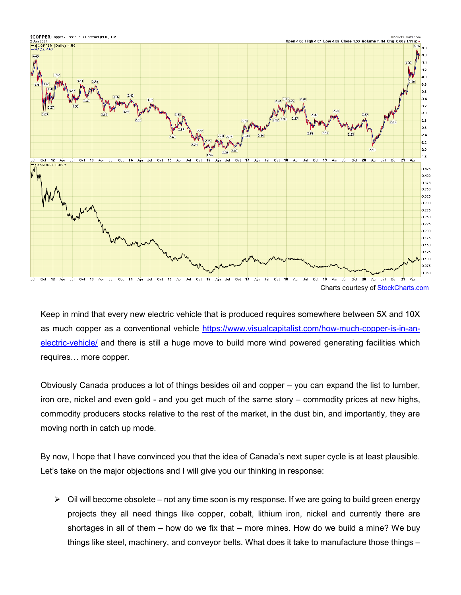

Keep in mind that every new electric vehicle that is produced requires somewhere between 5X and 10X as much copper as a conventional vehicle [https://www.visualcapitalist.com/how-much-copper-is-in-an](https://www.visualcapitalist.com/how-much-copper-is-in-an-electric-vehicle/)[electric-vehicle/](https://www.visualcapitalist.com/how-much-copper-is-in-an-electric-vehicle/) and there is still a huge move to build more wind powered generating facilities which requires… more copper.

Obviously Canada produces a lot of things besides oil and copper – you can expand the list to lumber, iron ore, nickel and even gold - and you get much of the same story – commodity prices at new highs, commodity producers stocks relative to the rest of the market, in the dust bin, and importantly, they are moving north in catch up mode.

By now, I hope that I have convinced you that the idea of Canada's next super cycle is at least plausible. Let's take on the major objections and I will give you our thinking in response:

 $\triangleright$  Oil will become obsolete – not any time soon is my response. If we are going to build green energy projects they all need things like copper, cobalt, lithium iron, nickel and currently there are shortages in all of them – how do we fix that – more mines. How do we build a mine? We buy things like steel, machinery, and conveyor belts. What does it take to manufacture those things –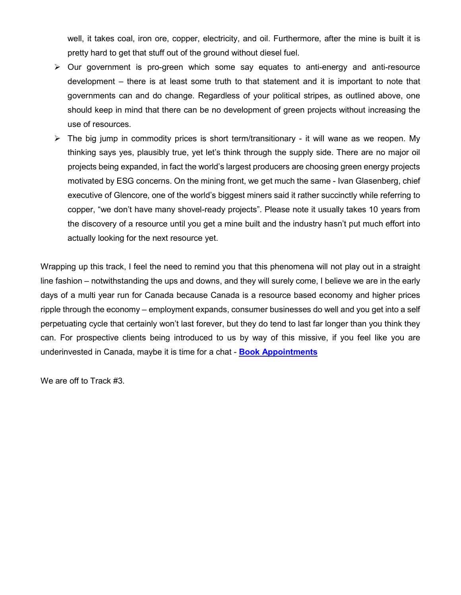well, it takes coal, iron ore, copper, electricity, and oil. Furthermore, after the mine is built it is pretty hard to get that stuff out of the ground without diesel fuel.

- $\triangleright$  Our government is pro-green which some say equates to anti-energy and anti-resource development – there is at least some truth to that statement and it is important to note that governments can and do change. Regardless of your political stripes, as outlined above, one should keep in mind that there can be no development of green projects without increasing the use of resources.
- $\triangleright$  The big jump in commodity prices is short term/transitionary it will wane as we reopen. My thinking says yes, plausibly true, yet let's think through the supply side. There are no major oil projects being expanded, in fact the world's largest producers are choosing green energy projects motivated by ESG concerns. On the mining front, we get much the same - Ivan Glasenberg, chief executive of Glencore, one of the world's biggest miners said it rather succinctly while referring to copper, "we don't have many shovel-ready projects". Please note it usually takes 10 years from the discovery of a resource until you get a mine built and the industry hasn't put much effort into actually looking for the next resource yet.

Wrapping up this track, I feel the need to remind you that this phenomena will not play out in a straight line fashion – notwithstanding the ups and downs, and they will surely come, I believe we are in the early days of a multi year run for Canada because Canada is a resource based economy and higher prices ripple through the economy – employment expands, consumer businesses do well and you get into a self perpetuating cycle that certainly won't last forever, but they do tend to last far longer than you think they can. For prospective clients being introduced to us by way of this missive, if you feel like you are underinvested in Canada, maybe it is time for a chat - **[Book Appointments](https://outlook.office365.com/owa/calendar/ChrisRaperAssociates@raymondjamesprod.onmicrosoft.com/bookings/)**

We are off to Track #3.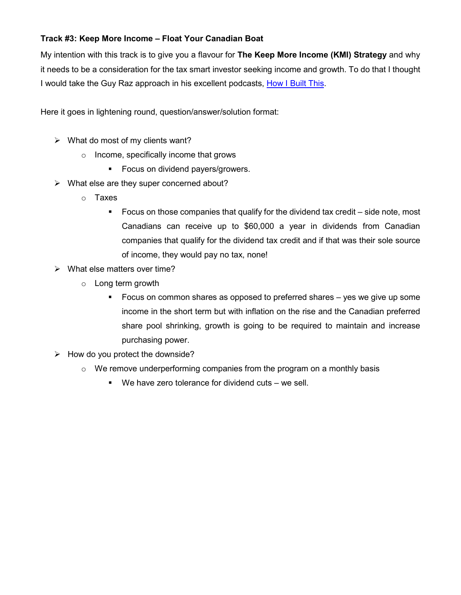# <span id="page-7-0"></span>**Track #3: Keep More Income – Float Your Canadian Boat**

My intention with this track is to give you a flavour for **The Keep More Income (KMI) Strategy** and why it needs to be a consideration for the tax smart investor seeking income and growth. To do that I thought I would take the Guy Raz approach in his excellent podcasts, [How I Built This.](https://www.guyraz.com/#podcasts)

Here it goes in lightening round, question/answer/solution format:

- $\triangleright$  What do most of my clients want?
	- o Income, specifically income that grows
		- **Focus on dividend payers/growers.**
- $\triangleright$  What else are they super concerned about?
	- o Taxes
		- Focus on those companies that qualify for the dividend tax credit side note, most Canadians can receive up to \$60,000 a year in dividends from Canadian companies that qualify for the dividend tax credit and if that was their sole source of income, they would pay no tax, none!
- $\triangleright$  What else matters over time?
	- o Long term growth
		- Focus on common shares as opposed to preferred shares yes we give up some income in the short term but with inflation on the rise and the Canadian preferred share pool shrinking, growth is going to be required to maintain and increase purchasing power.
- $\triangleright$  How do you protect the downside?
	- $\circ$  We remove underperforming companies from the program on a monthly basis
		- We have zero tolerance for dividend cuts we sell.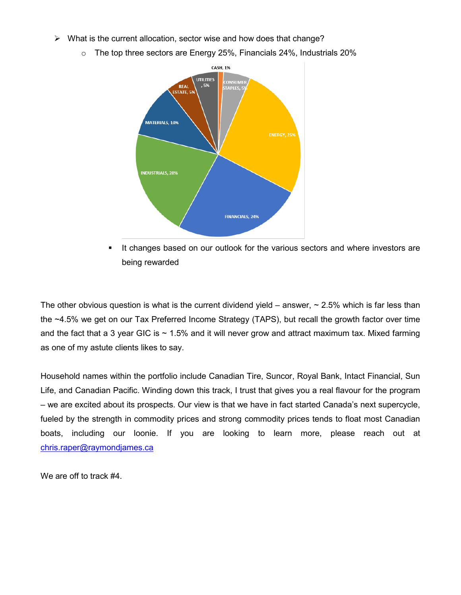- $\triangleright$  What is the current allocation, sector wise and how does that change?
	- o The top three sectors are Energy 25%, Financials 24%, Industrials 20%



 It changes based on our outlook for the various sectors and where investors are being rewarded

The other obvious question is what is the current dividend yield – answer,  $\sim$  2.5% which is far less than the ~4.5% we get on our Tax Preferred Income Strategy (TAPS), but recall the growth factor over time and the fact that a 3 year GIC is  $\sim$  1.5% and it will never grow and attract maximum tax. Mixed farming as one of my astute clients likes to say.

Household names within the portfolio include Canadian Tire, Suncor, Royal Bank, Intact Financial, Sun Life, and Canadian Pacific. Winding down this track, I trust that gives you a real flavour for the program – we are excited about its prospects. Our view is that we have in fact started Canada's next supercycle, fueled by the strength in commodity prices and strong commodity prices tends to float most Canadian boats, including our loonie. If you are looking to learn more, please reach out at [chris.raper@raymondjames.ca](mailto:chris.raper@raymondjames.ca)

<span id="page-8-0"></span>We are off to track #4.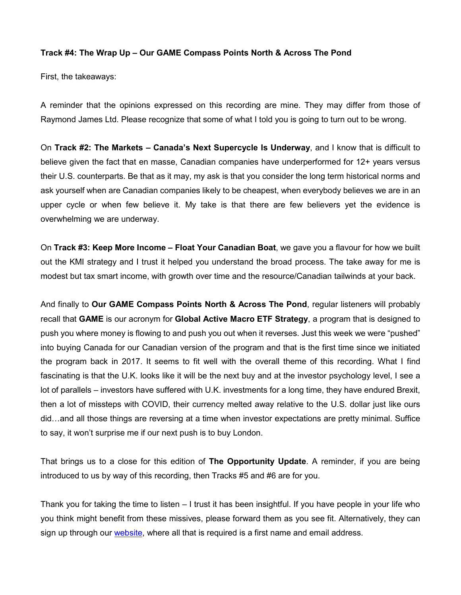### **Track #4: The Wrap Up – Our GAME Compass Points North & Across The Pond**

First, the takeaways:

A reminder that the opinions expressed on this recording are mine. They may differ from those of Raymond James Ltd. Please recognize that some of what I told you is going to turn out to be wrong.

On **Track #2: The Markets – Canada's Next Supercycle Is Underway**, and I know that is difficult to believe given the fact that en masse, Canadian companies have underperformed for 12+ years versus their U.S. counterparts. Be that as it may, my ask is that you consider the long term historical norms and ask yourself when are Canadian companies likely to be cheapest, when everybody believes we are in an upper cycle or when few believe it. My take is that there are few believers yet the evidence is overwhelming we are underway.

On **Track #3: Keep More Income – Float Your Canadian Boat**, we gave you a flavour for how we built out the KMI strategy and I trust it helped you understand the broad process. The take away for me is modest but tax smart income, with growth over time and the resource/Canadian tailwinds at your back.

And finally to **Our GAME Compass Points North & Across The Pond**, regular listeners will probably recall that **GAME** is our acronym for **Global Active Macro ETF Strategy**, a program that is designed to push you where money is flowing to and push you out when it reverses. Just this week we were "pushed" into buying Canada for our Canadian version of the program and that is the first time since we initiated the program back in 2017. It seems to fit well with the overall theme of this recording. What I find fascinating is that the U.K. looks like it will be the next buy and at the investor psychology level, I see a lot of parallels – investors have suffered with U.K. investments for a long time, they have endured Brexit, then a lot of missteps with COVID, their currency melted away relative to the U.S. dollar just like ours did…and all those things are reversing at a time when investor expectations are pretty minimal. Suffice to say, it won't surprise me if our next push is to buy London.

That brings us to a close for this edition of **The Opportunity Update**. A reminder, if you are being introduced to us by way of this recording, then Tracks #5 and #6 are for you.

Thank you for taking the time to listen – I trust it has been insightful. If you have people in your life who you think might benefit from these missives, please forward them as you see fit. Alternatively, they can sign up through our [website,](https://www.chrisraper.com/insights/subscribe) where all that is required is a first name and email address.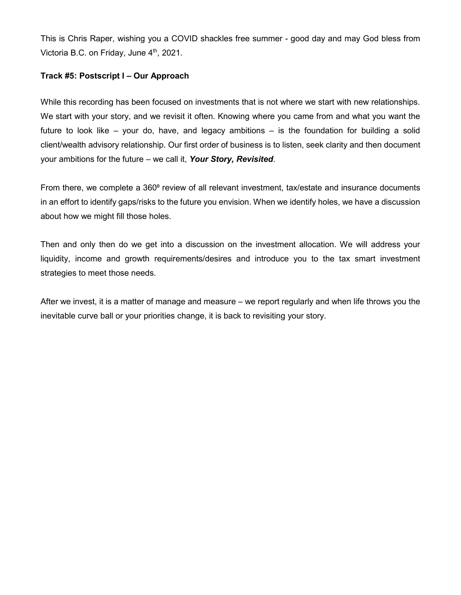This is Chris Raper, wishing you a COVID shackles free summer - good day and may God bless from Victoria B.C. on Friday, June  $4<sup>th</sup>$ , 2021.

# <span id="page-10-0"></span>**Track #5: Postscript I – Our Approach**

While this recording has been focused on investments that is not where we start with new relationships. We start with your story, and we revisit it often. Knowing where you came from and what you want the future to look like – your do, have, and legacy ambitions – is the foundation for building a solid client/wealth advisory relationship. Our first order of business is to listen, seek clarity and then document your ambitions for the future – we call it, *Your Story, Revisited*.

From there, we complete a 360<sup>°</sup> review of all relevant investment, tax/estate and insurance documents in an effort to identify gaps/risks to the future you envision. When we identify holes, we have a discussion about how we might fill those holes.

Then and only then do we get into a discussion on the investment allocation. We will address your liquidity, income and growth requirements/desires and introduce you to the tax smart investment strategies to meet those needs.

After we invest, it is a matter of manage and measure – we report regularly and when life throws you the inevitable curve ball or your priorities change, it is back to revisiting your story.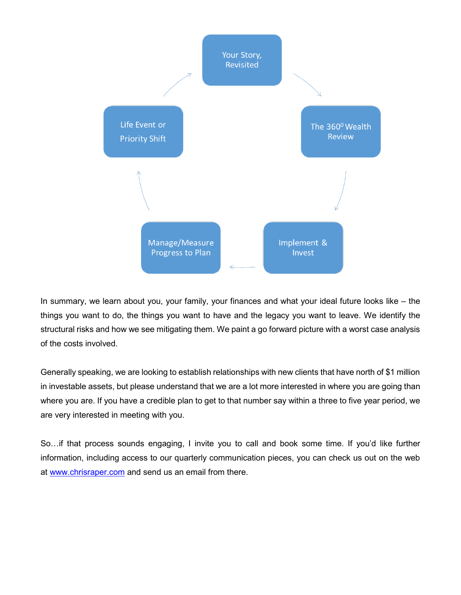

In summary, we learn about you, your family, your finances and what your ideal future looks like – the things you want to do, the things you want to have and the legacy you want to leave. We identify the structural risks and how we see mitigating them. We paint a go forward picture with a worst case analysis of the costs involved.

Generally speaking, we are looking to establish relationships with new clients that have north of \$1 million in investable assets, but please understand that we are a lot more interested in where you are going than where you are. If you have a credible plan to get to that number say within a three to five year period, we are very interested in meeting with you.

So…if that process sounds engaging, I invite you to call and book some time. If you'd like further information, including access to our quarterly communication pieces, you can check us out on the web at [www.chrisraper.com](http://www.chrisraper.com/) and send us an email from there.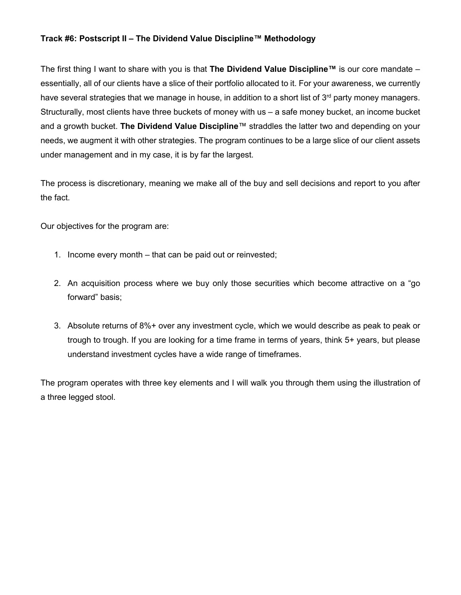### <span id="page-12-0"></span>**Track #6: Postscript II – The Dividend Value Discipline™ Methodology**

The first thing I want to share with you is that **The Dividend Value Discipline™** is our core mandate – essentially, all of our clients have a slice of their portfolio allocated to it. For your awareness, we currently have several strategies that we manage in house, in addition to a short list of 3<sup>rd</sup> party money managers. Structurally, most clients have three buckets of money with us – a safe money bucket, an income bucket and a growth bucket. **The Dividend Value Discipline**™ straddles the latter two and depending on your needs, we augment it with other strategies. The program continues to be a large slice of our client assets under management and in my case, it is by far the largest.

The process is discretionary, meaning we make all of the buy and sell decisions and report to you after the fact.

Our objectives for the program are:

- 1. Income every month that can be paid out or reinvested;
- 2. An acquisition process where we buy only those securities which become attractive on a "go forward" basis;
- 3. Absolute returns of 8%+ over any investment cycle, which we would describe as peak to peak or trough to trough. If you are looking for a time frame in terms of years, think 5+ years, but please understand investment cycles have a wide range of timeframes.

The program operates with three key elements and I will walk you through them using the illustration of a three legged stool.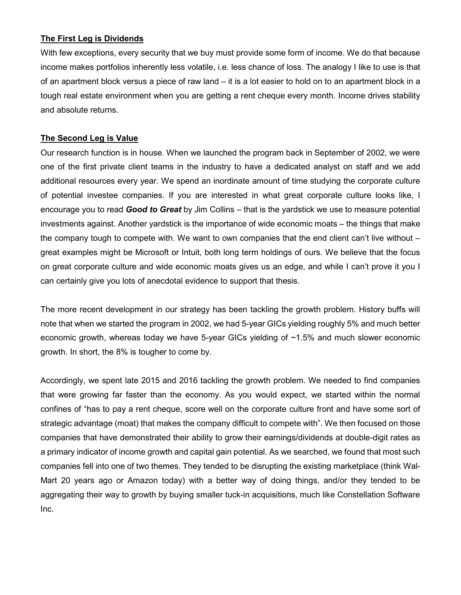### **The First Leg is Dividends**

With few exceptions, every security that we buy must provide some form of income. We do that because income makes portfolios inherently less volatile, i.e. less chance of loss. The analogy I like to use is that of an apartment block versus a piece of raw land – it is a lot easier to hold on to an apartment block in a tough real estate environment when you are getting a rent cheque every month. Income drives stability and absolute returns.

### **The Second Leg is Value**

Our research function is in house. When we launched the program back in September of 2002, we were one of the first private client teams in the industry to have a dedicated analyst on staff and we add additional resources every year. We spend an inordinate amount of time studying the corporate culture of potential investee companies. If you are interested in what great corporate culture looks like, I encourage you to read *Good to Great* by Jim Collins – that is the yardstick we use to measure potential investments against. Another yardstick is the importance of wide economic moats – the things that make the company tough to compete with. We want to own companies that the end client can't live without – great examples might be Microsoft or Intuit, both long term holdings of ours. We believe that the focus on great corporate culture and wide economic moats gives us an edge, and while I can't prove it you I can certainly give you lots of anecdotal evidence to support that thesis.

The more recent development in our strategy has been tackling the growth problem. History buffs will note that when we started the program in 2002, we had 5-year GICs yielding roughly 5% and much better economic growth, whereas today we have 5-year GICs yielding of ~1.5% and much slower economic growth. In short, the 8% is tougher to come by.

Accordingly, we spent late 2015 and 2016 tackling the growth problem. We needed to find companies that were growing far faster than the economy. As you would expect, we started within the normal confines of "has to pay a rent cheque, score well on the corporate culture front and have some sort of strategic advantage (moat) that makes the company difficult to compete with". We then focused on those companies that have demonstrated their ability to grow their earnings/dividends at double-digit rates as a primary indicator of income growth and capital gain potential. As we searched, we found that most such companies fell into one of two themes. They tended to be disrupting the existing marketplace (think Wal-Mart 20 years ago or Amazon today) with a better way of doing things, and/or they tended to be aggregating their way to growth by buying smaller tuck-in acquisitions, much like Constellation Software Inc.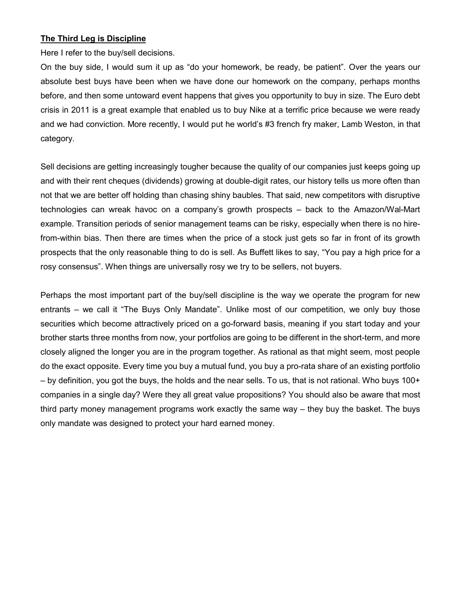#### **The Third Leg is Discipline**

Here I refer to the buy/sell decisions.

On the buy side, I would sum it up as "do your homework, be ready, be patient". Over the years our absolute best buys have been when we have done our homework on the company, perhaps months before, and then some untoward event happens that gives you opportunity to buy in size. The Euro debt crisis in 2011 is a great example that enabled us to buy Nike at a terrific price because we were ready and we had conviction. More recently, I would put he world's #3 french fry maker, Lamb Weston, in that category.

Sell decisions are getting increasingly tougher because the quality of our companies just keeps going up and with their rent cheques (dividends) growing at double-digit rates, our history tells us more often than not that we are better off holding than chasing shiny baubles. That said, new competitors with disruptive technologies can wreak havoc on a company's growth prospects – back to the Amazon/Wal-Mart example. Transition periods of senior management teams can be risky, especially when there is no hirefrom-within bias. Then there are times when the price of a stock just gets so far in front of its growth prospects that the only reasonable thing to do is sell. As Buffett likes to say, "You pay a high price for a rosy consensus". When things are universally rosy we try to be sellers, not buyers.

Perhaps the most important part of the buy/sell discipline is the way we operate the program for new entrants – we call it "The Buys Only Mandate". Unlike most of our competition, we only buy those securities which become attractively priced on a go-forward basis, meaning if you start today and your brother starts three months from now, your portfolios are going to be different in the short-term, and more closely aligned the longer you are in the program together. As rational as that might seem, most people do the exact opposite. Every time you buy a mutual fund, you buy a pro-rata share of an existing portfolio – by definition, you got the buys, the holds and the near sells. To us, that is not rational. Who buys 100+ companies in a single day? Were they all great value propositions? You should also be aware that most third party money management programs work exactly the same way – they buy the basket. The buys only mandate was designed to protect your hard earned money.